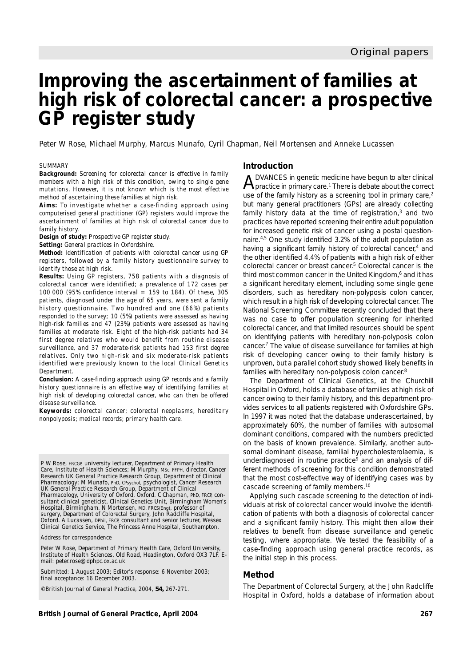# **Improving the ascertainment of families at high risk of colorectal cancer: a prospective GP register study**

Peter W Rose, Michael Murphy, Marcus Munafo, Cyril Chapman, Neil Mortensen and Anneke Lucassen

#### *SUMMARY*

*Background: Screening for colorectal cancer is effective in family members with a high risk of this condition, owing to single gene mutations. However, it is not known which is the most effective method of ascertaining these families at high risk.*

*Aims: To investigate whether a case-finding approach using computerised general practitioner (GP) registers would improve the ascertainment of families at high risk of colorectal cancer due to family history.*

*Design of study: Prospective GP register study.*

*Setting: General practices in Oxfordshire.*

*Method: Identification of patients with colorectal cancer using GP registers, followed by a family history questionnaire survey to identify those at high risk.*

*Results: Using GP registers, 758 patients with a diagnosis of colorectal cancer were identified; a prevalence of 172 cases per 100 000 (95% confidence interval = 159 to 184). Of these, 305 patients, diagnosed under the age of 65 years, were sent a family history questionnaire. Two hundred and one (66%) patients responded to the survey; 10 (5%) patients were assessed as having high-risk families and 47 (23%) patients were assessed as having families at moderate risk. Eight of the high-risk patients had 34 first degree relatives who would benefit from routine disease surveillance, and 37 moderate-risk patients had 153 first degree relatives. Only two high-risk and six moderate-risk patients identified were previously known to the local Clinical Genetics Department.* 

*Conclusion: A case-finding approach using GP records and a family history questionnaire is an effective way of identifying families at high risk of developing colorectal cancer, who can then be offered disease surveillance.*

*Keywords: colorectal cancer; colorectal neoplasms, hereditary nonpolyposis; medical records; primary health care.*

P W Rose, FRCGP, university lecturer, Department of Primary Health Care, Institute of Health Sciences; M Murphy, MSc, FFPH, director, Cancer Research UK General Practice Research Group, Department of Clinical Pharmacology; M Munafo, PhD, CPsychol, psychologist, Cancer Research UK General Practice Research Group, Department of Clinical Pharmacology, University of Oxford, Oxford. C Chapman, PhD, FRCP, consultant clinical geneticist, Clinical Genetics Unit, Birmingham Women's Hospital, Birmingham. N Mortensen, MD, FRCS(Eng), professor of surgery, Department of Colorectal Surgery, John Radcliffe Hospital, Oxford. A Lucassen, DPhil, FRCP, consultant and senior lecturer, Wessex Clinical Genetics Service, The Princess Anne Hospital, Southampton.

*Address for correspondence*

Peter W Rose, Department of Primary Health Care, Oxford University, Institute of Health Sciences, Old Road, Headington, Oxford OX3 7LF. Email: peter.rose@dphpc.ox.ac.uk

Submitted: 1 August 2003; Editor's response: 6 November 2003; final acceptance: 16 December 2003.

©*British Journal of General Practice*, 2004, **54,** 267-271.

# **Introduction**

 $A$ DVANCES in genetic medicine have begun to alter clinical<br>practice in primary care.<sup>1</sup> There is debate about the correct use of the family history as a screening tool in primary care, $2$ but many general practitioners (GPs) are already collecting family history data at the time of registration.<sup>3</sup> and two practices have reported screening their entire adult population for increased genetic risk of cancer using a postal questionnaire.4,5 One study identified 3.2% of the adult population as having a significant family history of colorectal cancer,<sup>4</sup> and the other identified 4.4% of patients with a high risk of either colorectal cancer or breast cancer.<sup>5</sup> Colorectal cancer is the third most common cancer in the United Kingdom,<sup>6</sup> and it has a significant hereditary element, including some single gene disorders, such as hereditary non-polyposis colon cancer, which result in a high risk of developing colorectal cancer. The National Screening Committee recently concluded that there was no case to offer population screening for inherited colorectal cancer, and that limited resources should be spent on identifying patients with hereditary non-polyposis colon cancer.7 The value of disease surveillance for families at high risk of developing cancer owing to their family history is unproven, but a parallel cohort study showed likely benefits in families with hereditary non-polyposis colon cancer.8

The Department of Clinical Genetics, at the Churchill Hospital in Oxford, holds a database of families at high risk of cancer owing to their family history, and this department provides services to all patients registered with Oxfordshire GPs. In 1997 it was noted that the database underascertained, by approximately 60%, the number of families with autosomal dominant conditions, compared with the numbers predicted on the basis of known prevalence. Similarly, another autosomal dominant disease, familial hypercholesterolaemia, is underdiagnosed in routine practice<sup>9</sup> and an analysis of different methods of screening for this condition demonstrated that the most cost-effective way of identifying cases was by cascade screening of family members.10

Applying such cascade screening to the detection of individuals at risk of colorectal cancer would involve the identification of patients with both a diagnosis of colorectal cancer and a significant family history. This might then allow their relatives to benefit from disease surveillance and genetic testing, where appropriate. We tested the feasibility of a case-finding approach using general practice records, as the initial step in this process.

### **Method**

The Department of Colorectal Surgery, at the John Radcliffe Hospital in Oxford, holds a database of information about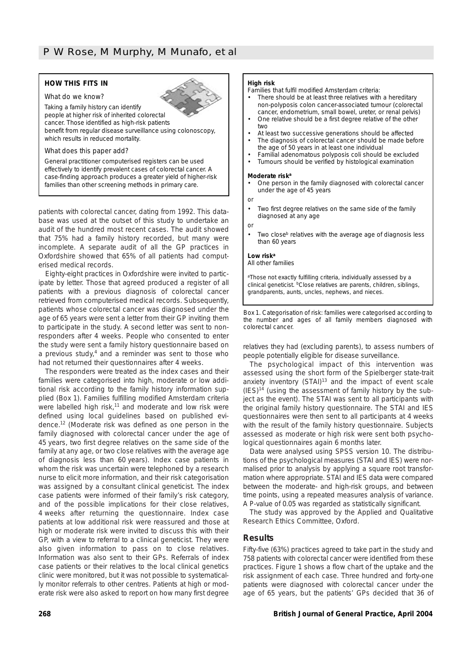# **HOW THIS FITS IN** *What do we know?*



Taking a family history can identify

people at higher risk of inherited colorectal cancer. Those identified as high-risk patients benefit from regular disease surveillance using colonoscopy, which results in reduced mortality.

#### *What does this paper add?*

General practitioner computerised registers can be used effectively to identify prevalent cases of colorectal cancer. A case-finding approach produces a greater yield of higher-risk families than other screening methods in primary care.

patients with colorectal cancer, dating from 1992. This database was used at the outset of this study to undertake an audit of the hundred most recent cases. The audit showed that 75% had a family history recorded, but many were incomplete. A separate audit of all the GP practices in Oxfordshire showed that 65% of all patients had computerised medical records.

Eighty-eight practices in Oxfordshire were invited to participate by letter. Those that agreed produced a register of all patients with a previous diagnosis of colorectal cancer retrieved from computerised medical records. Subsequently, patients whose colorectal cancer was diagnosed under the age of 65 years were sent a letter from their GP inviting them to participate in the study. A second letter was sent to nonresponders after 4 weeks. People who consented to enter the study were sent a family history questionnaire based on a previous study, $4$  and a reminder was sent to those who had not returned their questionnaires after 4 weeks.

The responders were treated as the index cases and their families were categorised into high, moderate or low additional risk according to the family history information supplied (Box 1). Families fulfilling modified Amsterdam criteria were labelled high risk,<sup>11</sup> and moderate and low risk were defined using local guidelines based on published evidence.12 (Moderate risk was defined as one person in the family diagnosed with colorectal cancer under the age of 45 years, two first degree relatives on the same side of the family at any age, or two close relatives with the average age of diagnosis less than 60 years). Index case patients in whom the risk was uncertain were telephoned by a research nurse to elicit more information, and their risk categorisation was assigned by a consultant clinical geneticist. The index case patients were informed of their family's risk category, and of the possible implications for their close relatives, 4 weeks after returning the questionnaire. Index case patients at low additional risk were reassured and those at high or moderate risk were invited to discuss this with their GP, with a view to referral to a clinical geneticist. They were also given information to pass on to close relatives. Information was also sent to their GPs. Referrals of index case patients or their relatives to the local clinical genetics clinic were monitored, but it was not possible to systematically monitor referrals to other centres. Patients at high or moderate risk were also asked to report on how many first degree

#### **High risk**

Families that fulfil modified Amsterdam criteria:

- There should be at least three relatives with a hereditary non-polyposis colon cancer-associated tumour (colorectal cancer, endometrium, small bowel, ureter, or renal pelvis)
- One relative should be a first degree relative of the other two
- At least two successive generations should be affected
- The diagnosis of colorectal cancer should be made before the age of 50 years in at least one individual
- Familial adenomatous polyposis coli should be excluded
- Tumours should be verified by histological examination

#### **Moderate riska**

- One person in the family diagnosed with colorectal cancer under the age of 45 years
- *or*
- Two first degree relatives on the same side of the family diagnosed at any age
- *or*
- Two close<sup>b</sup> relatives with the average age of diagnosis less than 60 years

#### **Low riska**

All other families

aThose not exactly fulfilling criteria, individually assessed by a clinical geneticist. bClose relatives are parents, children, siblings, grandparents, aunts, uncles, nephews, and nieces.

*Box 1. Categorisation of risk: families were categorised according to the number and ages of all family members diagnosed with colorectal cancer.*

relatives they had (excluding parents), to assess numbers of people potentially eligible for disease surveillance.

The psychological impact of this intervention was assessed using the short form of the Spielberger state-trait anxiety inventory (STAI)<sup>13</sup> and the impact of event scale  $(IES)^{14}$  (using the assessment of family history by the subject as the event). The STAI was sent to all participants with the original family history questionnaire. The STAI and IES questionnaires were then sent to all participants at 4 weeks with the result of the family history questionnaire. Subjects assessed as moderate or high risk were sent both psychological questionnaires again 6 months later.

Data were analysed using SPSS version 10. The distributions of the psychological measures (STAI and IES) were normalised prior to analysis by applying a square root transformation where appropriate. STAI and IES data were compared between the moderate- and high-risk groups, and between time points, using a repeated measures analysis of variance. A *P*-value of 0.05 was regarded as statistically significant.

The study was approved by the Applied and Qualitative Research Ethics Committee, Oxford.

# **Results**

Fifty-five (63%) practices agreed to take part in the study and 758 patients with colorectal cancer were identified from these practices. Figure 1 shows a flow chart of the uptake and the risk assignment of each case. Three hundred and forty-one patients were diagnosed with colorectal cancer under the age of 65 years, but the patients' GPs decided that 36 of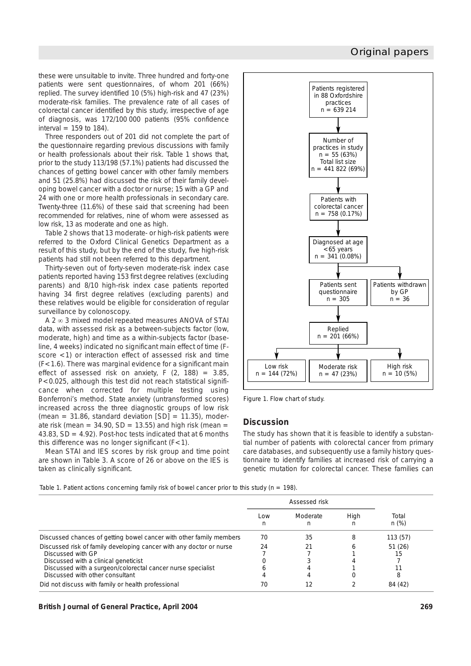# Original papers

these were unsuitable to invite. Three hundred and forty-one patients were sent questionnaires, of whom 201 (66%) replied. The survey identified 10 (5%) high-risk and 47 (23%) moderate-risk families. The prevalence rate of all cases of colorectal cancer identified by this study, irrespective of age of diagnosis, was 172/100 000 patients (95% confidence interval  $= 159$  to 184).

Three responders out of 201 did not complete the part of the questionnaire regarding previous discussions with family or health professionals about their risk. Table 1 shows that, prior to the study 113/198 (57.1%) patients had discussed the chances of getting bowel cancer with other family members and 51 (25.8%) had discussed the risk of their family developing bowel cancer with a doctor or nurse; 15 with a GP and 24 with one or more health professionals in secondary care. Twenty-three (11.6%) of these said that screening had been recommended for relatives, nine of whom were assessed as low risk, 13 as moderate and one as high.

Table 2 shows that 13 moderate- or high-risk patients were referred to the Oxford Clinical Genetics Department as a result of this study, but by the end of the study, five high-risk patients had still not been referred to this department.

Thirty-seven out of forty-seven moderate-risk index case patients reported having 153 first degree relatives (excluding parents) and 8/10 high-risk index case patients reported having 34 first degree relatives (excluding parents) and these relatives would be eligible for consideration of regular surveillance by colonoscopy.

A 2 ∞ 3 mixed model repeated measures ANOVA of STAI data, with assessed risk as a between-subjects factor (low, moderate, high) and time as a within-subjects factor (baseline, 4 weeks) indicated no significant main effect of time (*F*score <1) or interaction effect of assessed risk and time (*F*<1.6). There was marginal evidence for a significant main effect of assessed risk on anxiety, *F* (2, 188) = 3.85, *P*<0.025, although this test did not reach statistical significance when corrected for multiple testing using Bonferroni's method. State anxiety (untransformed scores) increased across the three diagnostic groups of low risk (mean =  $31.86$ , standard deviation [SD] =  $11.35$ ), moderate risk (mean =  $34.90$ , SD = 13.55) and high risk (mean = 43.83,  $SD = 4.92$ ). Post-hoc tests indicated that at 6 months this difference was no longer significant (*F*<1).

Mean STAI and IES scores by risk group and time point are shown in Table 3. A score of 26 or above on the IES is taken as clinically significant.



*Figure 1. Flow chart of study.*

# **Discussion**

The study has shown that it is feasible to identify a substantial number of patients with colorectal cancer from primary care databases, and subsequently use a family history questionnaire to identify families at increased risk of carrying a genetic mutation for colorectal cancer. These families can

*Table 1. Patient actions concerning family risk of bowel cancer prior to this study (*n *= 198).*

|                                                                                                                                                                                                                                    | Assessed risk |               |           |                  |
|------------------------------------------------------------------------------------------------------------------------------------------------------------------------------------------------------------------------------------|---------------|---------------|-----------|------------------|
|                                                                                                                                                                                                                                    | Low<br>n      | Moderate<br>n | High<br>n | Total<br>$n$ (%) |
| Discussed chances of getting bowel cancer with other family members                                                                                                                                                                | 70            | 35            |           | 113(57)          |
| Discussed risk of family developing cancer with any doctor or nurse<br>Discussed with GP<br>Discussed with a clinical geneticist<br>Discussed with a surgeon/colorectal cancer nurse specialist<br>Discussed with other consultant | 24            | 21            |           | 51(26)<br>15     |
| Did not discuss with family or health professional                                                                                                                                                                                 | 70            |               |           | 84 (42)          |

**British Journal of General Practice, April 2004 269**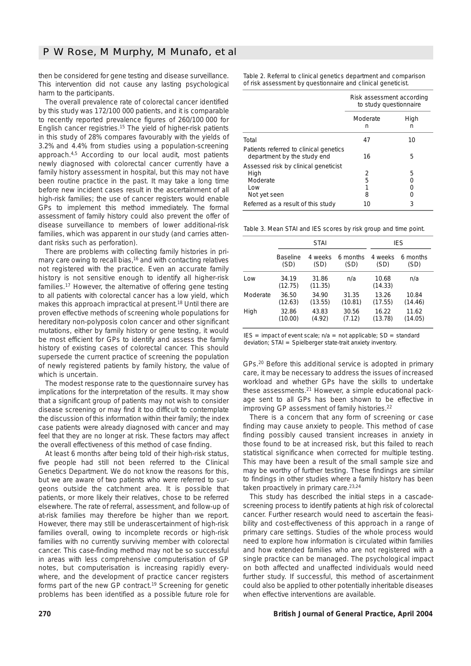then be considered for gene testing and disease surveillance. This intervention did not cause any lasting psychological harm to the participants.

The overall prevalence rate of colorectal cancer identified by this study was 172/100 000 patients, and it is comparable to recently reported prevalence figures of 260/100 000 for English cancer registries.15 The yield of higher-risk patients in this study of 28% compares favourably with the yields of 3.2% and 4.4% from studies using a population-screening approach.4,5 According to our local audit, most patients newly diagnosed with colorectal cancer currently have a family history assessment in hospital, but this may not have been routine practice in the past. It may take a long time before new incident cases result in the ascertainment of all high-risk families; the use of cancer registers would enable GPs to implement this method immediately. The formal assessment of family history could also prevent the offer of disease surveillance to members of lower additional-risk families, which was apparent in our study (and carries attendant risks such as perforation).

There are problems with collecting family histories in primary care owing to recall bias,<sup>16</sup> and with contacting relatives not registered with the practice. Even an accurate family history is not sensitive enough to identify all higher-risk families.17 However, the alternative of offering gene testing to all patients with colorectal cancer has a low yield, which makes this approach impractical at present.18 Until there are proven effective methods of screening whole populations for hereditary non-polyposis colon cancer and other significant mutations, either by family history or gene testing, it would be most efficient for GPs to identify and assess the family history of existing cases of colorectal cancer. This should supersede the current practice of screening the population of newly registered patients by family history, the value of which is uncertain.

The modest response rate to the questionnaire survey has implications for the interpretation of the results. It may show that a significant group of patients may not wish to consider disease screening or may find it too difficult to contemplate the discussion of this information within their family; the index case patients were already diagnosed with cancer and may feel that they are no longer at risk. These factors may affect the overall effectiveness of this method of case finding.

At least 6 months after being told of their high-risk status, five people had still not been referred to the Clinical Genetics Department. We do not know the reasons for this, but we are aware of two patients who were referred to surgeons outside the catchment area. It is possible that patients, or more likely their relatives, chose to be referred elsewhere. The rate of referral, assessment, and follow-up of at-risk families may therefore be higher than we report. However, there may still be underascertainment of high-risk families overall, owing to incomplete records or high-risk families with no currently surviving member with colorectal cancer. This case-finding method may not be so successful in areas with less comprehensive computerisation of GP notes, but computerisation is increasing rapidly everywhere, and the development of practice cancer registers forms part of the new GP contract.19 Screening for genetic problems has been identified as a possible future role for

*Table 2. Referral to clinical genetics department and comparison of risk assessment by questionnaire and clinical geneticist.*

|                                                                                 | Risk assessment according<br>to study questionnaire |           |  |
|---------------------------------------------------------------------------------|-----------------------------------------------------|-----------|--|
|                                                                                 | Moderate<br>n                                       | High<br>n |  |
| Total                                                                           | 47                                                  | 10        |  |
| Patients referred to clinical genetics<br>department by the study end           | 16                                                  | 5         |  |
| Assessed risk by clinical geneticist<br>High<br>Moderate<br>Low<br>Not yet seen | 2<br>5<br>1<br>8                                    | 5<br>ი    |  |
| Referred as a result of this study                                              | 10                                                  | 3         |  |

*Table 3. Mean STAI and IES scores by risk group and time point.*

|          | <b>STAI</b>      |                  |          | IES              |          |  |
|----------|------------------|------------------|----------|------------------|----------|--|
|          | <b>Baseline</b>  | 4 weeks          | 6 months | 4 weeks          | 6 months |  |
|          | (SD)             | (SD)             | (SD)     | (SD)             | (SD)     |  |
| Low      | 34.19<br>(12.75) | 31.86<br>(11.35) | n/a      | 10.68<br>(14.33) | n/a      |  |
| Moderate | 36.50            | 34.90            | 31.35    | 13.26            | 10.84    |  |
|          | (12.63)          | (13.55)          | (10.81)  | (17.55)          | (14.46)  |  |
| High     | 32.86            | 43.83            | 30.56    | 16.22            | 11.62    |  |
|          | (10.00)          | (4.92)           | (7.12)   | (13.78)          | (14.05)  |  |

 $IES = impact of event scale; n/a = not applicable; SD = standard$ deviation; STAI = Spielberger state-trait anxiety inventory.

GPs.20 Before this additional service is adopted in primary care, it may be necessary to address the issues of increased workload and whether GPs have the skills to undertake these assessments.<sup>21</sup> However, a simple educational package sent to all GPs has been shown to be effective in improving GP assessment of family histories.<sup>22</sup>

There is a concern that any form of screening or case finding may cause anxiety to people. This method of case finding possibly caused transient increases in anxiety in those found to be at increased risk, but this failed to reach statistical significance when corrected for multiple testing. This may have been a result of the small sample size and may be worthy of further testing. These findings are similar to findings in other studies where a family history has been taken proactively in primary care.<sup>23,24</sup>

This study has described the initial steps in a cascadescreening process to identify patients at high risk of colorectal cancer. Further research would need to ascertain the feasibility and cost-effectiveness of this approach in a range of primary care settings. Studies of the whole process would need to explore how information is circulated within families and how extended families who are not registered with a single practice can be managed. The psychological impact on both affected and unaffected individuals would need further study. If successful, this method of ascertainment could also be applied to other potentially inheritable diseases when effective interventions are available.